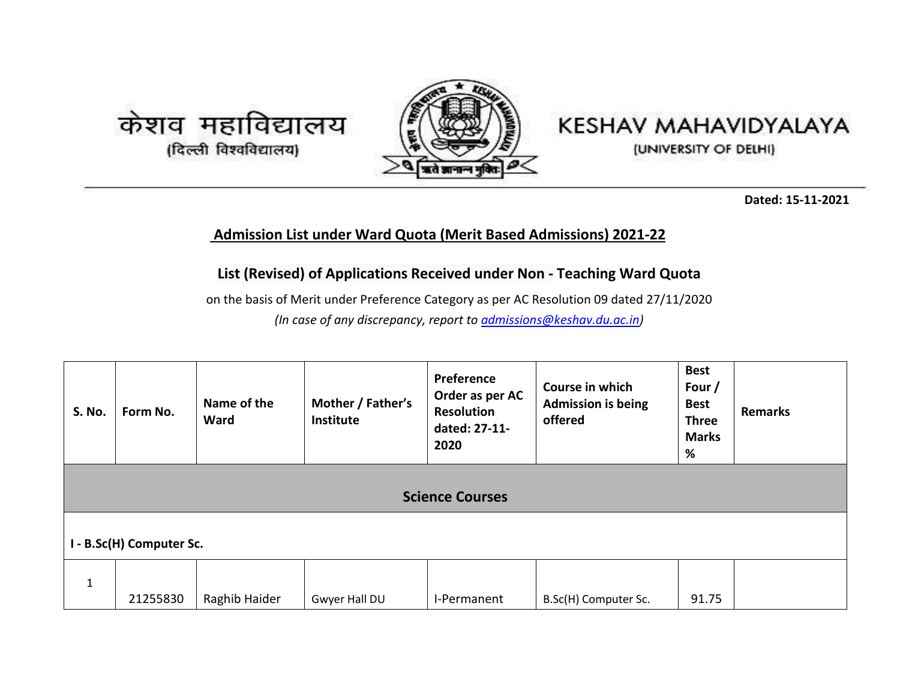





**Dated: 15-11-2021**

## **Admission List under Ward Quota (Merit Based Admissions) 2021-22**

## **List (Revised) of Applications Received under Non - Teaching Ward Quota**

on the basis of Merit under Preference Category as per AC Resolution 09 dated 27/11/2020 *(In case of any discrepancy, report to [admissions@keshav.du.ac.in\)](mailto:admissions@keshav.du.ac.in)*

| <b>S. No.</b>            | Form No.               | Name of the<br>Ward | Mother / Father's<br>Institute | Preference<br>Order as per AC<br><b>Resolution</b><br>dated: 27-11-<br>2020 | Course in which<br><b>Admission is being</b><br>offered | <b>Best</b><br>Four /<br><b>Best</b><br><b>Three</b><br><b>Marks</b><br>% | <b>Remarks</b> |  |  |  |
|--------------------------|------------------------|---------------------|--------------------------------|-----------------------------------------------------------------------------|---------------------------------------------------------|---------------------------------------------------------------------------|----------------|--|--|--|
|                          | <b>Science Courses</b> |                     |                                |                                                                             |                                                         |                                                                           |                |  |  |  |
| I - B.Sc(H) Computer Sc. |                        |                     |                                |                                                                             |                                                         |                                                                           |                |  |  |  |
| 1                        | 21255830               | Raghib Haider       | Gwyer Hall DU                  | I-Permanent                                                                 | B.Sc(H) Computer Sc.                                    | 91.75                                                                     |                |  |  |  |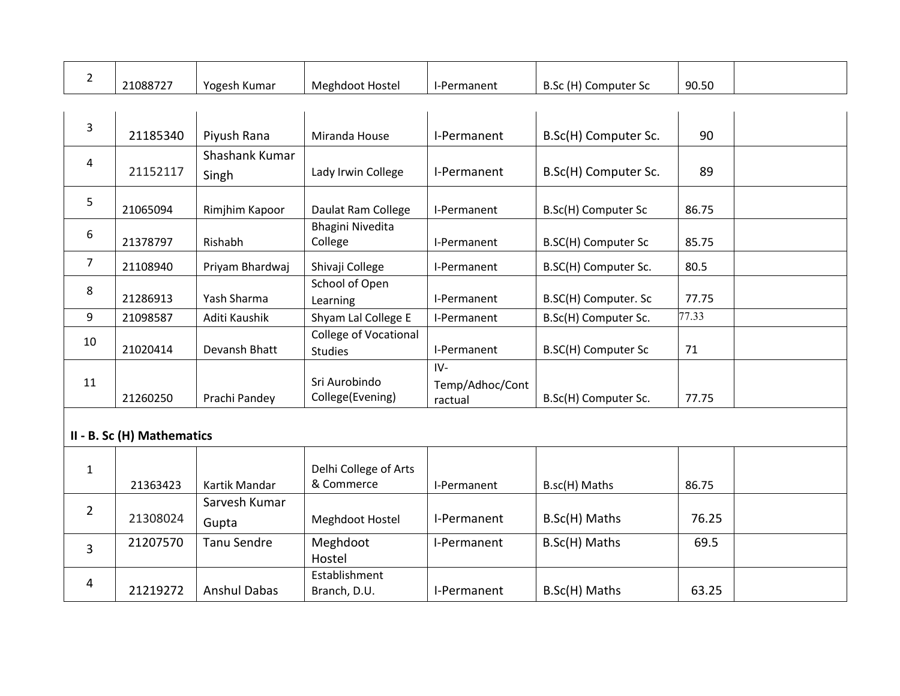| $\overline{2}$ | 21088727                   | Yogesh Kumar            | <b>Meghdoot Hostel</b>                         | I-Permanent                         | B.Sc (H) Computer Sc | 90.50 |  |
|----------------|----------------------------|-------------------------|------------------------------------------------|-------------------------------------|----------------------|-------|--|
|                |                            |                         |                                                |                                     |                      |       |  |
| 3              | 21185340                   | Piyush Rana             | Miranda House                                  | I-Permanent                         | B.Sc(H) Computer Sc. | 90    |  |
| 4              | 21152117                   | Shashank Kumar<br>Singh | Lady Irwin College                             | I-Permanent                         | B.Sc(H) Computer Sc. | 89    |  |
| 5              | 21065094                   | Rimjhim Kapoor          | Daulat Ram College                             | I-Permanent                         | B.Sc(H) Computer Sc  | 86.75 |  |
| 6              | 21378797                   | Rishabh                 | <b>Bhagini Nivedita</b><br>College             | I-Permanent                         | B.SC(H) Computer Sc  | 85.75 |  |
| $\overline{7}$ | 21108940                   | Priyam Bhardwaj         | Shivaji College                                | I-Permanent                         | B.SC(H) Computer Sc. | 80.5  |  |
| 8              | 21286913                   | Yash Sharma             | School of Open<br>Learning                     | I-Permanent                         | B.SC(H) Computer. Sc | 77.75 |  |
| 9              | 21098587                   | Aditi Kaushik           | Shyam Lal College E                            | I-Permanent                         | B.Sc(H) Computer Sc. | 77.33 |  |
| 10             | 21020414                   | Devansh Bhatt           | <b>College of Vocational</b><br><b>Studies</b> | I-Permanent                         | B.SC(H) Computer Sc  | 71    |  |
| 11             | 21260250                   | Prachi Pandey           | Sri Aurobindo<br>College(Evening)              | $IV-$<br>Temp/Adhoc/Cont<br>ractual | B.Sc(H) Computer Sc. | 77.75 |  |
|                | II - B. Sc (H) Mathematics |                         |                                                |                                     |                      |       |  |
| $\mathbf{1}$   | 21363423                   | Kartik Mandar           | Delhi College of Arts<br>& Commerce            | I-Permanent                         | B.sc(H) Maths        | 86.75 |  |
| $\overline{2}$ | 21308024                   | Sarvesh Kumar<br>Gupta  | Meghdoot Hostel                                | I-Permanent                         | B.Sc(H) Maths        | 76.25 |  |
| 3              | 21207570                   | Tanu Sendre             | Meghdoot                                       | I-Permanent                         | B.Sc(H) Maths        | 69.5  |  |

 $I-Permanent$  B.Sc(H) Maths | 63.25

Hostel

Establishment

Anshul Dabas | Branch, D.U.

 $4 \Big| 21219272$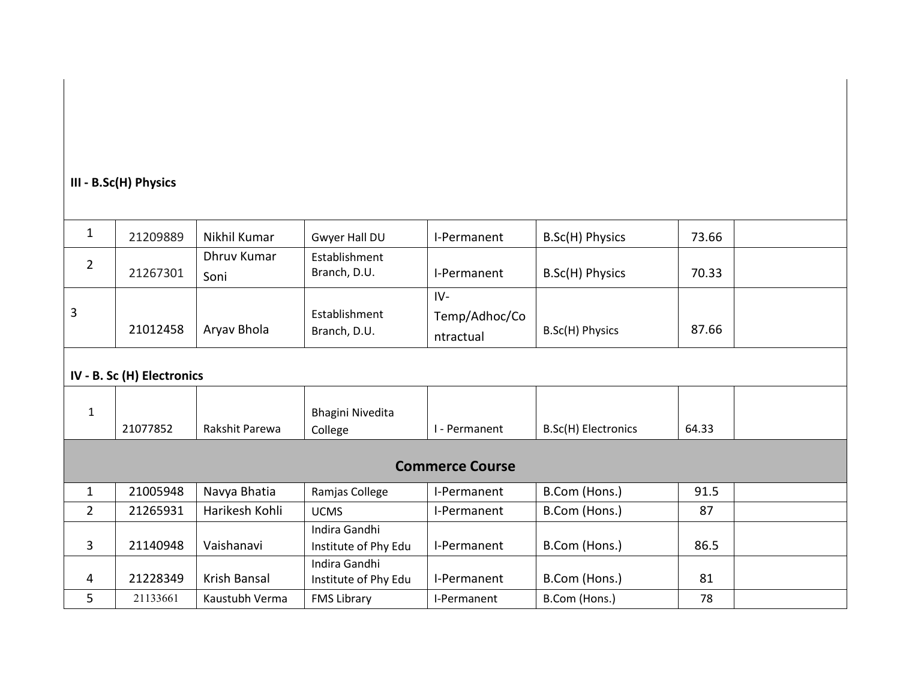## **III - B.Sc(H) Physics**

| $\mathbf{1}$           | 21209889                   | Nikhil Kumar        | Gwyer Hall DU                         | I-Permanent                         | B.Sc(H) Physics     | 73.66 |  |  |  |  |
|------------------------|----------------------------|---------------------|---------------------------------------|-------------------------------------|---------------------|-------|--|--|--|--|
| $\overline{2}$         | 21267301                   | Dhruv Kumar<br>Soni | Establishment<br>Branch, D.U.         | I-Permanent                         | B.Sc(H) Physics     | 70.33 |  |  |  |  |
| 3                      | 21012458                   | Aryav Bhola         | Establishment<br>Branch, D.U.         | $IV-$<br>Temp/Adhoc/Co<br>ntractual | B.Sc(H) Physics     | 87.66 |  |  |  |  |
|                        | IV - B. Sc (H) Electronics |                     |                                       |                                     |                     |       |  |  |  |  |
| $\mathbf 1$            | 21077852                   | Rakshit Parewa      | <b>Bhagini Nivedita</b><br>College    | I - Permanent                       | B.Sc(H) Electronics | 64.33 |  |  |  |  |
| <b>Commerce Course</b> |                            |                     |                                       |                                     |                     |       |  |  |  |  |
| $\mathbf{1}$           | 21005948                   | Navya Bhatia        | Ramjas College                        | I-Permanent                         | B.Com (Hons.)       | 91.5  |  |  |  |  |
| $\overline{2}$         | 21265931                   | Harikesh Kohli      | <b>UCMS</b>                           | I-Permanent                         | B.Com (Hons.)       | 87    |  |  |  |  |
| $\mathbf{3}$           | 21140948                   | Vaishanavi          | Indira Gandhi<br>Institute of Phy Edu | I-Permanent                         | B.Com (Hons.)       | 86.5  |  |  |  |  |
| 4                      | 21228349                   | Krish Bansal        | Indira Gandhi<br>Institute of Phy Edu | I-Permanent                         | B.Com (Hons.)       | 81    |  |  |  |  |
| 5                      | 21133661                   | Kaustubh Verma      | <b>FMS Library</b>                    | I-Permanent                         | B.Com (Hons.)       | 78    |  |  |  |  |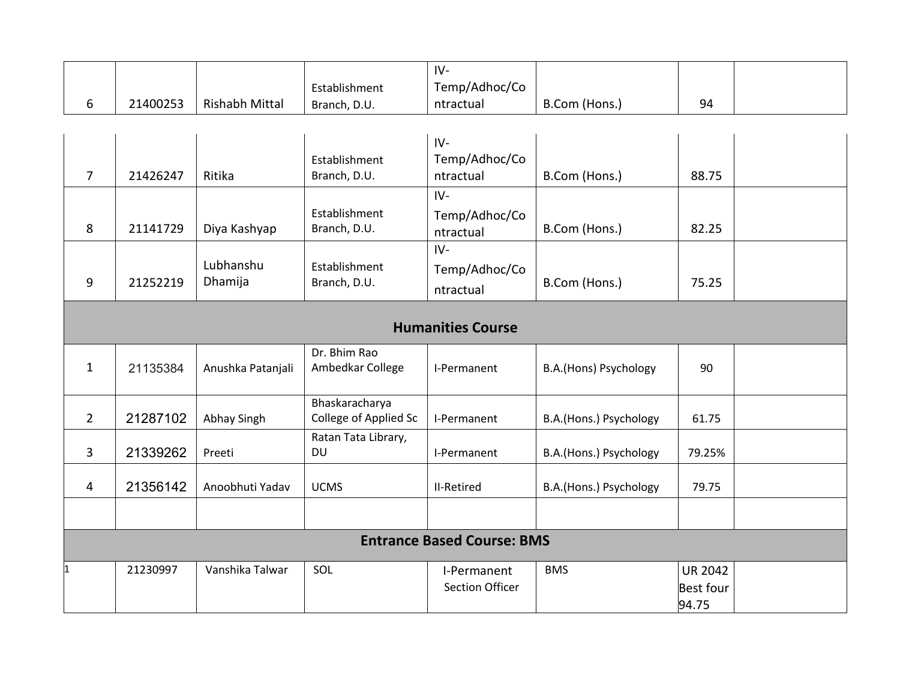|                |          |                       |                       | $IV-$                             |                        |                |  |
|----------------|----------|-----------------------|-----------------------|-----------------------------------|------------------------|----------------|--|
|                |          |                       | Establishment         | Temp/Adhoc/Co                     |                        |                |  |
| 6              | 21400253 | <b>Rishabh Mittal</b> | Branch, D.U.          | ntractual                         | B.Com (Hons.)          | 94             |  |
|                |          |                       |                       |                                   |                        |                |  |
|                |          |                       |                       | IV-                               |                        |                |  |
|                |          |                       | Establishment         | Temp/Adhoc/Co                     |                        |                |  |
| $\overline{7}$ | 21426247 | Ritika                | Branch, D.U.          | ntractual                         | B.Com (Hons.)          | 88.75          |  |
|                |          |                       |                       | $IV -$                            |                        |                |  |
|                |          |                       | Establishment         | Temp/Adhoc/Co                     |                        |                |  |
| 8              | 21141729 | Diya Kashyap          | Branch, D.U.          | ntractual                         | B.Com (Hons.)          | 82.25          |  |
|                |          |                       |                       | $IV -$                            |                        |                |  |
|                |          | Lubhanshu             | Establishment         | Temp/Adhoc/Co                     |                        |                |  |
| 9              | 21252219 | Dhamija               | Branch, D.U.          | ntractual                         | B.Com (Hons.)          | 75.25          |  |
|                |          |                       |                       |                                   |                        |                |  |
|                |          |                       |                       | <b>Humanities Course</b>          |                        |                |  |
|                |          |                       | Dr. Bhim Rao          |                                   |                        |                |  |
| $\mathbf{1}$   | 21135384 | Anushka Patanjali     | Ambedkar College      | I-Permanent                       | B.A.(Hons) Psychology  | 90             |  |
|                |          |                       |                       |                                   |                        |                |  |
|                |          |                       | Bhaskaracharya        |                                   |                        |                |  |
| $\overline{2}$ | 21287102 | Abhay Singh           | College of Applied Sc | I-Permanent                       | B.A.(Hons.) Psychology | 61.75          |  |
|                |          |                       | Ratan Tata Library,   |                                   |                        |                |  |
| 3              | 21339262 | Preeti                | <b>DU</b>             | I-Permanent                       | B.A.(Hons.) Psychology | 79.25%         |  |
|                |          |                       |                       |                                   |                        |                |  |
| 4              | 21356142 | Anoobhuti Yadav       | <b>UCMS</b>           | <b>II-Retired</b>                 | B.A.(Hons.) Psychology | 79.75          |  |
|                |          |                       |                       |                                   |                        |                |  |
|                |          |                       |                       |                                   |                        |                |  |
|                |          |                       |                       | <b>Entrance Based Course: BMS</b> |                        |                |  |
| $\mathbf 1$    | 21230997 | Vanshika Talwar       | SOL                   | I-Permanent                       | <b>BMS</b>             | <b>UR 2042</b> |  |
|                |          |                       |                       | <b>Section Officer</b>            |                        | Best four      |  |
|                |          |                       |                       |                                   |                        | 94.75          |  |